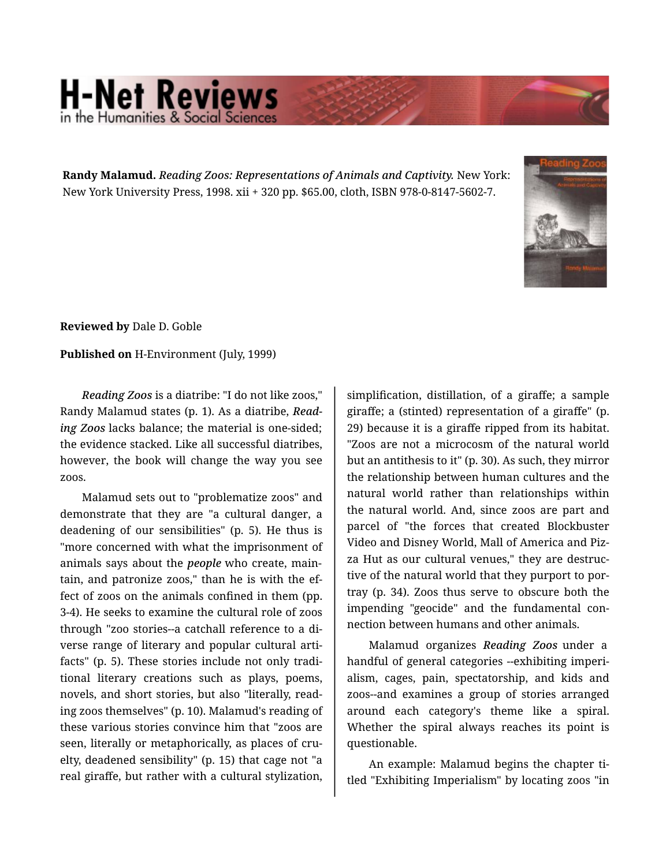## **H-Net Reviews**

**Randy Malamud.** *Reading Zoos: Representations of Animals and Captivity.* New York: New York University Press, 1998. xii + 320 pp. \$65.00, cloth, ISBN 978-0-8147-5602-7.



**Reviewed by** Dale D. Goble

**Published on** H-Environment (July, 1999)

*Reading Zoos* is a diatribe: "I do not like zoos," Randy Malamud states (p. 1). As a diatribe, *Read‐ ing Zoos* lacks balance; the material is one-sided; the evidence stacked. Like all successful diatribes, however, the book will change the way you see zoos.

Malamud sets out to "problematize zoos" and demonstrate that they are "a cultural danger, a deadening of our sensibilities" (p. 5). He thus is "more concerned with what the imprisonment of animals says about the *people* who create, main‐ tain, and patronize zoos," than he is with the ef‐ fect of zoos on the animals confined in them (pp. 3-4). He seeks to examine the cultural role of zoos through "zoo stories--a catchall reference to a di‐ verse range of literary and popular cultural arti‐ facts" (p. 5). These stories include not only tradi‐ tional literary creations such as plays, poems, novels, and short stories, but also "literally, read‐ ing zoos themselves" (p. 10). Malamud's reading of these various stories convince him that "zoos are seen, literally or metaphorically, as places of cru‐ elty, deadened sensibility" (p. 15) that cage not "a real giraffe, but rather with a cultural stylization,

simplification, distillation, of a giraffe; a sample giraffe; a (stinted) representation of a giraffe" (p. 29) because it is a giraffe ripped from its habitat. "Zoos are not a microcosm of the natural world but an antithesis to it" (p. 30). As such, they mirror the relationship between human cultures and the natural world rather than relationships within the natural world. And, since zoos are part and parcel of "the forces that created Blockbuster Video and Disney World, Mall of America and Piz‐ za Hut as our cultural venues," they are destruc‐ tive of the natural world that they purport to por‐ tray (p. 34). Zoos thus serve to obscure both the impending "geocide" and the fundamental con‐ nection between humans and other animals.

Malamud organizes *Reading Zoos* under a handful of general categories --exhibiting imperi‐ alism, cages, pain, spectatorship, and kids and zoos--and examines a group of stories arranged around each category's theme like a spiral. Whether the spiral always reaches its point is questionable.

An example: Malamud begins the chapter ti‐ tled "Exhibiting Imperialism" by locating zoos "in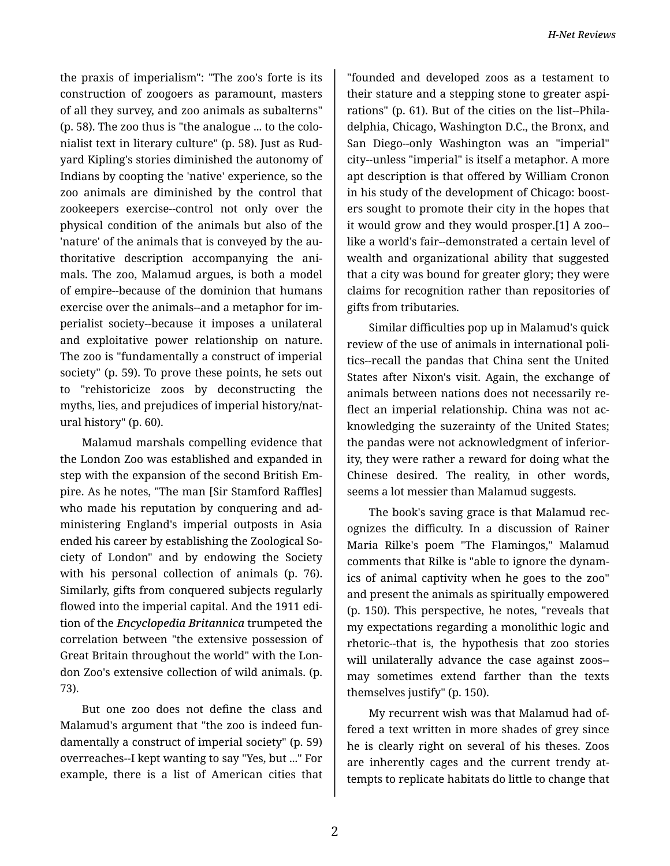the praxis of imperialism": "The zoo's forte is its construction of zoogoers as paramount, masters of all they survey, and zoo animals as subalterns" (p. 58). The zoo thus is "the analogue ... to the colo‐ nialist text in literary culture" (p. 58). Just as Rud‐ yard Kipling's stories diminished the autonomy of Indians by coopting the 'native' experience, so the zoo animals are diminished by the control that zookeepers exercise--control not only over the physical condition of the animals but also of the 'nature' of the animals that is conveyed by the au‐ thoritative description accompanying the ani‐ mals. The zoo, Malamud argues, is both a model of empire--because of the dominion that humans exercise over the animals--and a metaphor for im‐ perialist society--because it imposes a unilateral and exploitative power relationship on nature. The zoo is "fundamentally a construct of imperial society" (p. 59). To prove these points, he sets out to "rehistoricize zoos by deconstructing the myths, lies, and prejudices of imperial history/nat‐ ural history" (p. 60).

Malamud marshals compelling evidence that the London Zoo was established and expanded in step with the expansion of the second British Em‐ pire. As he notes, "The man [Sir Stamford Raffles] who made his reputation by conquering and ad‐ ministering England's imperial outposts in Asia ended his career by establishing the Zoological So‐ ciety of London" and by endowing the Society with his personal collection of animals (p. 76). Similarly, gifts from conquered subjects regularly flowed into the imperial capital. And the 1911 edi‐ tion of the *Encyclopedia Britannica* trumpeted the correlation between "the extensive possession of Great Britain throughout the world" with the Lon‐ don Zoo's extensive collection of wild animals. (p. 73).

But one zoo does not define the class and Malamud's argument that "the zoo is indeed fun‐ damentally a construct of imperial society" (p. 59) overreaches--I kept wanting to say "Yes, but ..." For example, there is a list of American cities that

"founded and developed zoos as a testament to their stature and a stepping stone to greater aspi‐ rations" (p. 61). But of the cities on the list--Phila‐ delphia, Chicago, Washington D.C., the Bronx, and San Diego--only Washington was an "imperial" city--unless "imperial" is itself a metaphor. A more apt description is that offered by William Cronon in his study of the development of Chicago: boost‐ ers sought to promote their city in the hopes that it would grow and they would prosper.[1] A zoo- like a world's fair--demonstrated a certain level of wealth and organizational ability that suggested that a city was bound for greater glory; they were claims for recognition rather than repositories of gifts from tributaries.

Similar difficulties pop up in Malamud's quick review of the use of animals in international poli‐ tics--recall the pandas that China sent the United States after Nixon's visit. Again, the exchange of animals between nations does not necessarily re‐ flect an imperial relationship. China was not ac‐ knowledging the suzerainty of the United States; the pandas were not acknowledgment of inferior‐ ity, they were rather a reward for doing what the Chinese desired. The reality, in other words, seems a lot messier than Malamud suggests.

The book's saving grace is that Malamud rec‐ ognizes the difficulty. In a discussion of Rainer Maria Rilke's poem "The Flamingos," Malamud comments that Rilke is "able to ignore the dynam‐ ics of animal captivity when he goes to the zoo" and present the animals as spiritually empowered (p. 150). This perspective, he notes, "reveals that my expectations regarding a monolithic logic and rhetoric--that is, the hypothesis that zoo stories will unilaterally advance the case against zoos- may sometimes extend farther than the texts themselves justify" (p. 150).

My recurrent wish was that Malamud had of‐ fered a text written in more shades of grey since he is clearly right on several of his theses. Zoos are inherently cages and the current trendy at‐ tempts to replicate habitats do little to change that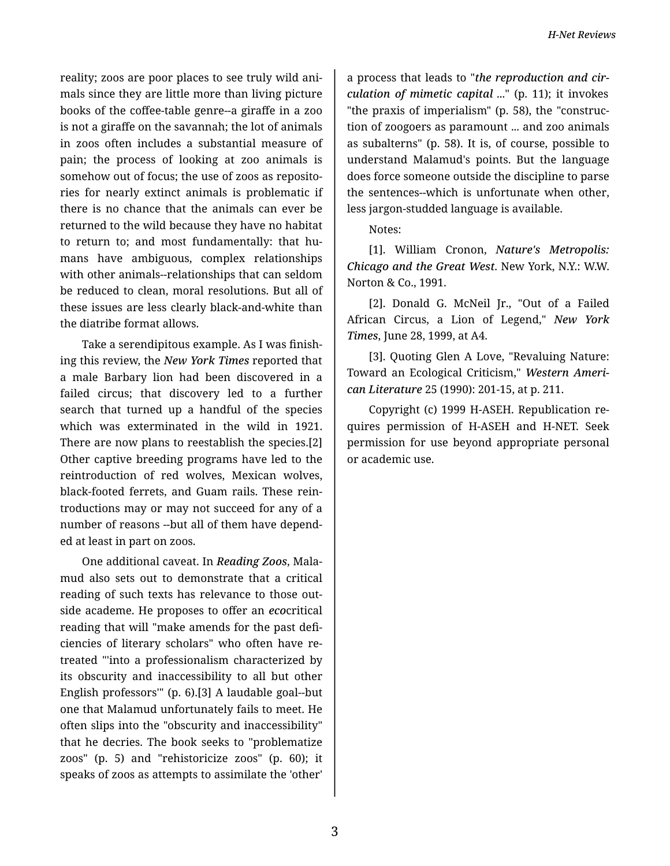reality; zoos are poor places to see truly wild ani‐ mals since they are little more than living picture books of the coffee-table genre--a giraffe in a zoo is not a giraffe on the savannah; the lot of animals in zoos often includes a substantial measure of pain; the process of looking at zoo animals is somehow out of focus; the use of zoos as reposito‐ ries for nearly extinct animals is problematic if there is no chance that the animals can ever be returned to the wild because they have no habitat to return to; and most fundamentally: that hu‐ mans have ambiguous, complex relationships with other animals--relationships that can seldom be reduced to clean, moral resolutions. But all of these issues are less clearly black-and-white than the diatribe format allows.

Take a serendipitous example. As I was finish‐ ing this review, the *New York Times* reported that a male Barbary lion had been discovered in a failed circus; that discovery led to a further search that turned up a handful of the species which was exterminated in the wild in 1921. There are now plans to reestablish the species.[2] Other captive breeding programs have led to the reintroduction of red wolves, Mexican wolves, black-footed ferrets, and Guam rails. These rein‐ troductions may or may not succeed for any of a number of reasons --but all of them have depend‐ ed at least in part on zoos.

One additional caveat. In *Reading Zoos*, Mala‐ mud also sets out to demonstrate that a critical reading of such texts has relevance to those out‐ side academe. He proposes to offer an *eco*critical reading that will "make amends for the past defi‐ ciencies of literary scholars" who often have re‐ treated "'into a professionalism characterized by its obscurity and inaccessibility to all but other English professors'" (p. 6).[3] A laudable goal--but one that Malamud unfortunately fails to meet. He often slips into the "obscurity and inaccessibility" that he decries. The book seeks to "problematize zoos" (p. 5) and "rehistoricize zoos" (p. 60); it speaks of zoos as attempts to assimilate the 'other'

a process that leads to "*the reproduction and cir‐ culation of mimetic capital* ..." (p. 11); it invokes "the praxis of imperialism" (p. 58), the "construc‐ tion of zoogoers as paramount ... and zoo animals as subalterns" (p. 58). It is, of course, possible to understand Malamud's points. But the language does force someone outside the discipline to parse the sentences--which is unfortunate when other, less jargon-studded language is available.

Notes:

[1]. William Cronon, *Nature's Metropolis: Chicago and the Great West*. New York, N.Y.: W.W. Norton & Co., 1991.

[2]. Donald G. McNeil Jr., "Out of a Failed African Circus, a Lion of Legend," *New York Times*, June 28, 1999, at A4.

[3]. Quoting Glen A Love, "Revaluing Nature: Toward an Ecological Criticism," *Western Ameri‐ can Literature* 25 (1990): 201-15, at p. 211.

Copyright (c) 1999 H-ASEH. Republication re‐ quires permission of H-ASEH and H-NET. Seek permission for use beyond appropriate personal or academic use.